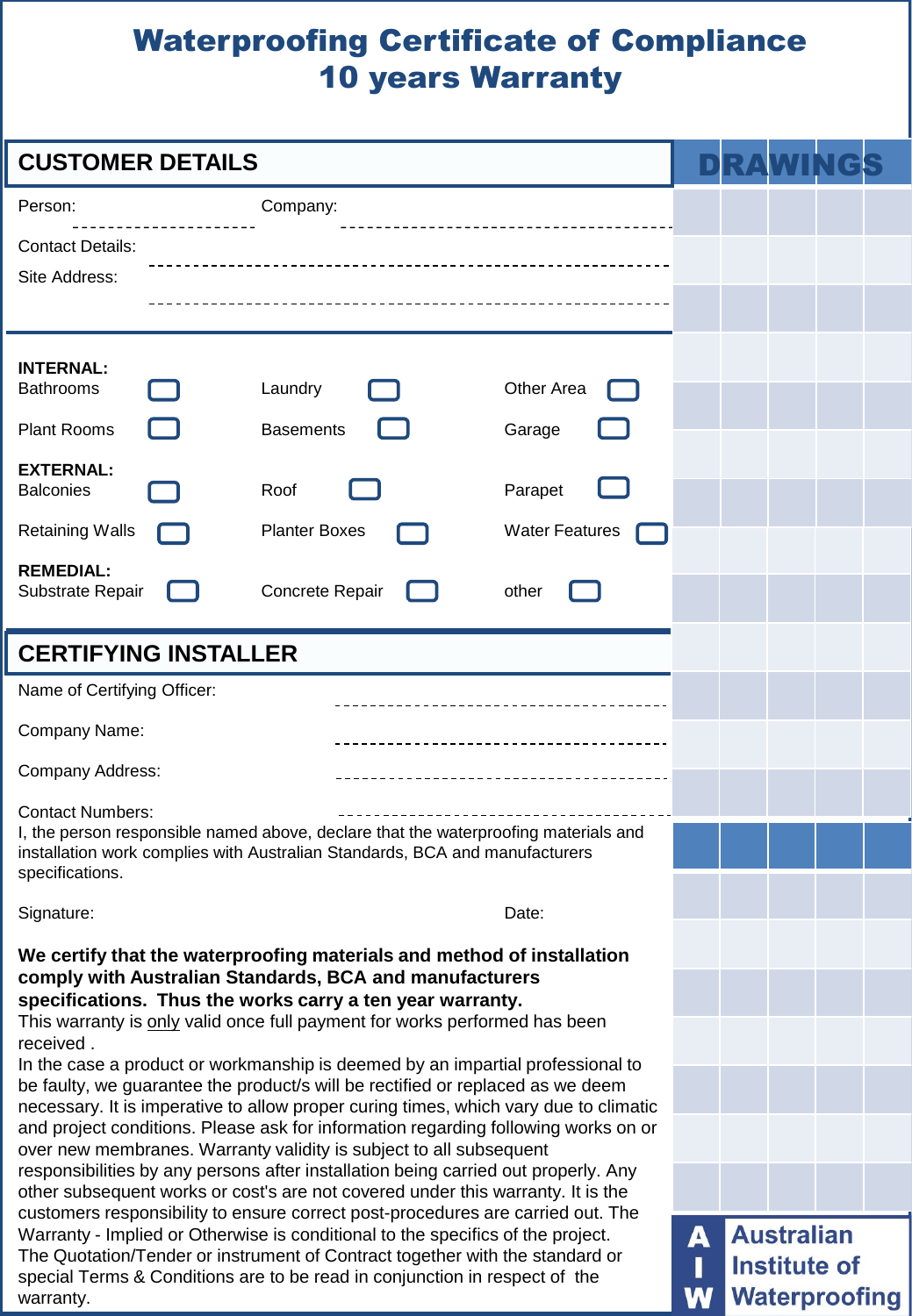## Waterproofing Certificate of Compliance 10 years Warranty

| <b>CUSTOMER DETAILS</b>                                                                                                                                                                                                                                                      |                      |                       |   |                      |  |  |  |  |
|------------------------------------------------------------------------------------------------------------------------------------------------------------------------------------------------------------------------------------------------------------------------------|----------------------|-----------------------|---|----------------------|--|--|--|--|
| Person:                                                                                                                                                                                                                                                                      | Company:             |                       |   |                      |  |  |  |  |
| <b>Contact Details:</b>                                                                                                                                                                                                                                                      |                      |                       |   |                      |  |  |  |  |
| Site Address:                                                                                                                                                                                                                                                                |                      |                       |   |                      |  |  |  |  |
|                                                                                                                                                                                                                                                                              |                      |                       |   |                      |  |  |  |  |
| <b>INTERNAL:</b>                                                                                                                                                                                                                                                             |                      |                       |   |                      |  |  |  |  |
| <b>Bathrooms</b>                                                                                                                                                                                                                                                             | Laundry              | Other Area            |   |                      |  |  |  |  |
| <b>Plant Rooms</b>                                                                                                                                                                                                                                                           | <b>Basements</b>     | Garage                |   |                      |  |  |  |  |
| <b>EXTERNAL:</b><br><b>Balconies</b>                                                                                                                                                                                                                                         | Roof                 | Parapet               |   |                      |  |  |  |  |
| <b>Retaining Walls</b>                                                                                                                                                                                                                                                       | <b>Planter Boxes</b> | <b>Water Features</b> |   |                      |  |  |  |  |
| <b>REMEDIAL:</b>                                                                                                                                                                                                                                                             |                      |                       |   |                      |  |  |  |  |
| Substrate Repair                                                                                                                                                                                                                                                             | Concrete Repair      | other                 |   |                      |  |  |  |  |
| <b>CERTIFYING INSTALLER</b>                                                                                                                                                                                                                                                  |                      |                       |   |                      |  |  |  |  |
| Name of Certifying Officer:                                                                                                                                                                                                                                                  |                      |                       |   |                      |  |  |  |  |
| Company Name:                                                                                                                                                                                                                                                                |                      |                       |   |                      |  |  |  |  |
| Company Address:                                                                                                                                                                                                                                                             |                      |                       |   |                      |  |  |  |  |
| <b>Contact Numbers:</b>                                                                                                                                                                                                                                                      |                      |                       |   |                      |  |  |  |  |
| I, the person responsible named above, declare that the waterproofing materials and<br>installation work complies with Australian Standards, BCA and manufacturers<br>specifications.                                                                                        |                      |                       |   |                      |  |  |  |  |
| Signature:                                                                                                                                                                                                                                                                   |                      | Date:                 |   |                      |  |  |  |  |
|                                                                                                                                                                                                                                                                              |                      |                       |   |                      |  |  |  |  |
| We certify that the waterproofing materials and method of installation<br>comply with Australian Standards, BCA and manufacturers<br>specifications. Thus the works carry a ten year warranty.<br>This warranty is only valid once full payment for works performed has been |                      |                       |   |                      |  |  |  |  |
|                                                                                                                                                                                                                                                                              |                      |                       |   |                      |  |  |  |  |
| received.                                                                                                                                                                                                                                                                    |                      |                       |   |                      |  |  |  |  |
| In the case a product or workmanship is deemed by an impartial professional to<br>be faulty, we guarantee the product/s will be rectified or replaced as we deem                                                                                                             |                      |                       |   |                      |  |  |  |  |
| necessary. It is imperative to allow proper curing times, which vary due to climatic<br>and project conditions. Please ask for information regarding following works on or                                                                                                   |                      |                       |   |                      |  |  |  |  |
| over new membranes. Warranty validity is subject to all subsequent                                                                                                                                                                                                           |                      |                       |   |                      |  |  |  |  |
| responsibilities by any persons after installation being carried out properly. Any<br>other subsequent works or cost's are not covered under this warranty. It is the                                                                                                        |                      |                       |   |                      |  |  |  |  |
| customers responsibility to ensure correct post-procedures are carried out. The<br>Warranty - Implied or Otherwise is conditional to the specifics of the project.                                                                                                           |                      |                       | A | <b>Australian</b>    |  |  |  |  |
| The Quotation/Tender or instrument of Contract together with the standard or                                                                                                                                                                                                 |                      |                       |   | Institute of         |  |  |  |  |
| special Terms & Conditions are to be read in conjunction in respect of the<br>warranty.                                                                                                                                                                                      |                      |                       |   | <b>Waterproofing</b> |  |  |  |  |